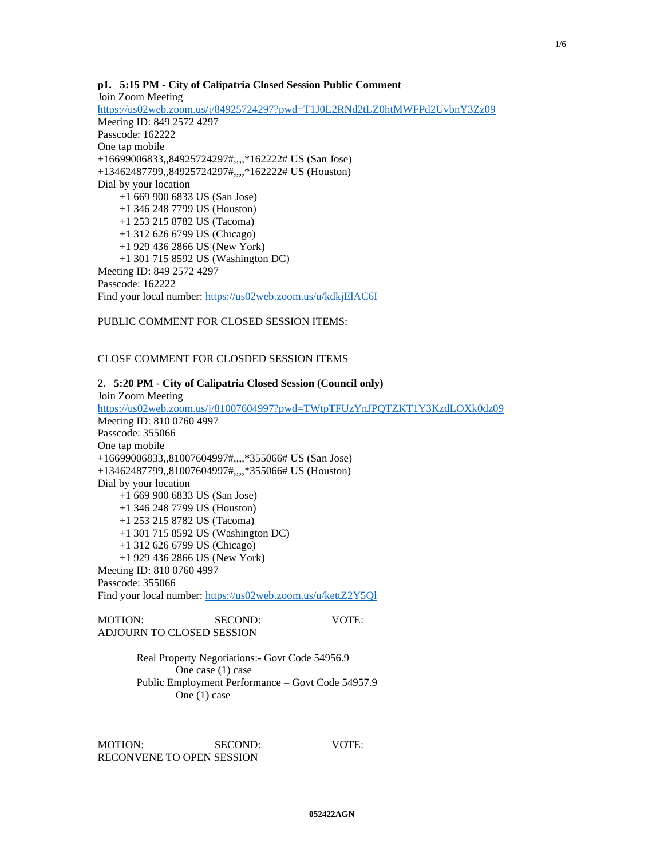## **p1. 5:15 PM - City of Calipatria Closed Session Public Comment** Join Zoom Meeting <https://us02web.zoom.us/j/84925724297?pwd=T1J0L2RNd2tLZ0htMWFPd2UvbnY3Zz09>

Meeting ID: 849 2572 4297 Passcode: 162222 One tap mobile +16699006833,,84925724297#,,,,\*162222# US (San Jose) +13462487799,,84925724297#,,,,\*162222# US (Houston) Dial by your location +1 669 900 6833 US (San Jose) +1 346 248 7799 US (Houston) +1 253 215 8782 US (Tacoma) +1 312 626 6799 US (Chicago) +1 929 436 2866 US (New York) +1 301 715 8592 US (Washington DC) Meeting ID: 849 2572 4297 Passcode: 162222 Find your local number:<https://us02web.zoom.us/u/kdkjElAC6I>

PUBLIC COMMENT FOR CLOSED SESSION ITEMS:

CLOSE COMMENT FOR CLOSDED SESSION ITEMS

# **2. 5:20 PM - City of Calipatria Closed Session (Council only)** Join Zoom Meeting <https://us02web.zoom.us/j/81007604997?pwd=TWtpTFUzYnJPQTZKT1Y3KzdLOXk0dz09> Meeting ID: 810 0760 4997 Passcode: 355066 One tap mobile +16699006833,,81007604997#,,,,\*355066# US (San Jose) +13462487799,,81007604997#,,,,\*355066# US (Houston) Dial by your location +1 669 900 6833 US (San Jose) +1 346 248 7799 US (Houston) +1 253 215 8782 US (Tacoma) +1 301 715 8592 US (Washington DC) +1 312 626 6799 US (Chicago) +1 929 436 2866 US (New York) Meeting ID: 810 0760 4997 Passcode: 355066 Find your local number:<https://us02web.zoom.us/u/kettZ2Y5Ql>

MOTION: SECOND: VOTE: ADJOURN TO CLOSED SESSION

> Real Property Negotiations:- Govt Code 54956.9 One case (1) case Public Employment Performance – Govt Code 54957.9 One (1) case

MOTION: SECOND: VOTE: RECONVENE TO OPEN SESSION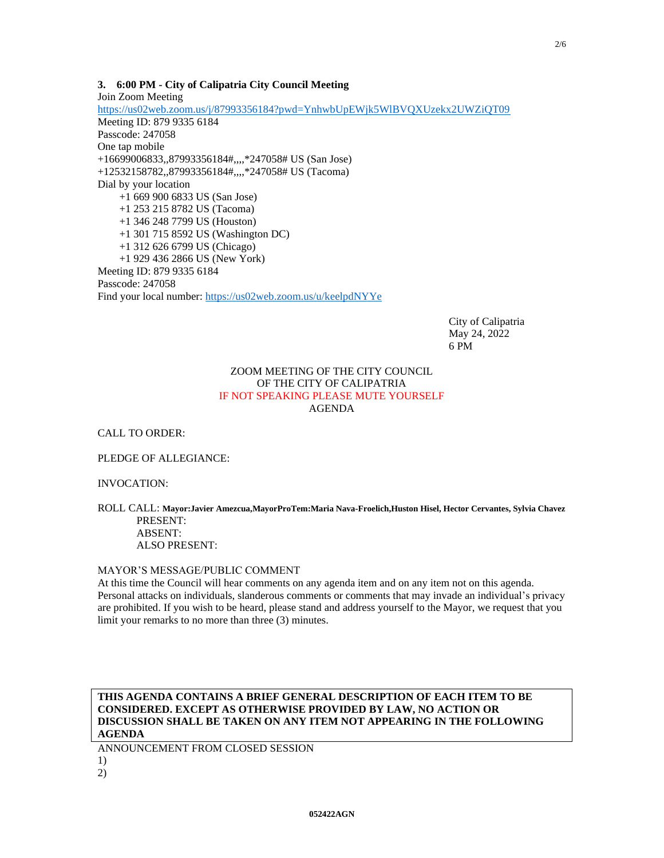## **3. 6:00 PM - City of Calipatria City Council Meeting**

Join Zoom Meeting <https://us02web.zoom.us/j/87993356184?pwd=YnhwbUpEWjk5WlBVQXUzekx2UWZiQT09> Meeting ID: 879 9335 6184 Passcode: 247058 One tap mobile +16699006833,,87993356184#,,,,\*247058# US (San Jose) +12532158782,,87993356184#,,,,\*247058# US (Tacoma) Dial by your location +1 669 900 6833 US (San Jose) +1 253 215 8782 US (Tacoma) +1 346 248 7799 US (Houston) +1 301 715 8592 US (Washington DC) +1 312 626 6799 US (Chicago) +1 929 436 2866 US (New York) Meeting ID: 879 9335 6184 Passcode: 247058 Find your local number:<https://us02web.zoom.us/u/keelpdNYYe>

> City of Calipatria May 24, 2022 6 PM

## ZOOM MEETING OF THE CITY COUNCIL OF THE CITY OF CALIPATRIA IF NOT SPEAKING PLEASE MUTE YOURSELF AGENDA

CALL TO ORDER:

PLEDGE OF ALLEGIANCE:

INVOCATION:

#### ROLL CALL: **Mayor:Javier Amezcua,MayorProTem:Maria Nava-Froelich,Huston Hisel, Hector Cervantes, Sylvia Chavez** PRESENT:

ABSENT: ALSO PRESENT:

## MAYOR'S MESSAGE/PUBLIC COMMENT

At this time the Council will hear comments on any agenda item and on any item not on this agenda. Personal attacks on individuals, slanderous comments or comments that may invade an individual's privacy are prohibited. If you wish to be heard, please stand and address yourself to the Mayor, we request that you limit your remarks to no more than three (3) minutes.

**THIS AGENDA CONTAINS A BRIEF GENERAL DESCRIPTION OF EACH ITEM TO BE CONSIDERED. EXCEPT AS OTHERWISE PROVIDED BY LAW, NO ACTION OR DISCUSSION SHALL BE TAKEN ON ANY ITEM NOT APPEARING IN THE FOLLOWING AGENDA**

ANNOUNCEMENT FROM CLOSED SESSION 1) 2)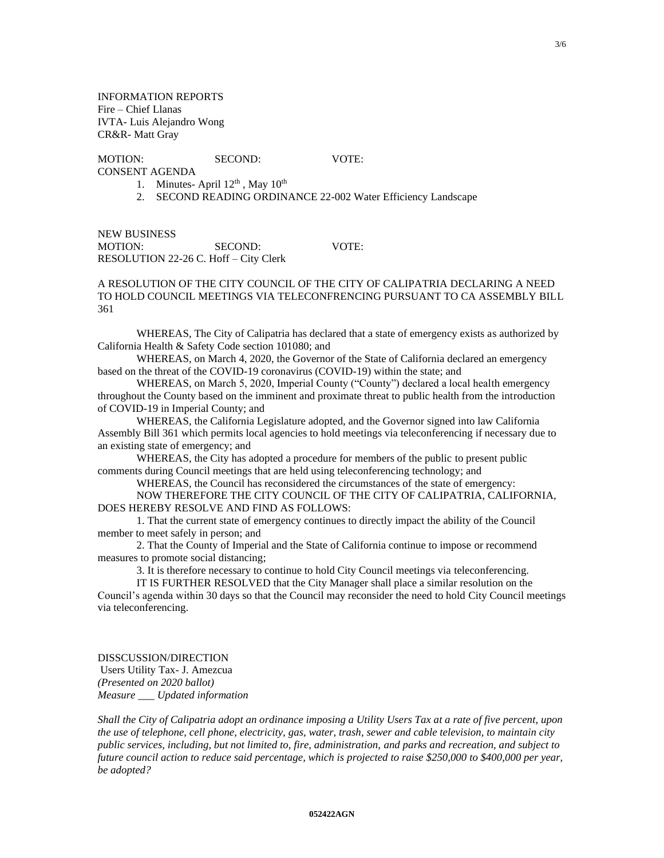INFORMATION REPORTS Fire – Chief Llanas IVTA- Luis Alejandro Wong CR&R- Matt Gray

# MOTION: SECOND: VOTE:

- CONSENT AGENDA
	- 1. Minutes- April  $12<sup>th</sup>$ , May  $10<sup>th</sup>$
	- 2. SECOND READING ORDINANCE 22-002 Water Efficiency Landscape

NEW BUSINESS MOTION: SECOND: VOTE: RESOLUTION 22-26 C. Hoff – City Clerk

## A RESOLUTION OF THE CITY COUNCIL OF THE CITY OF CALIPATRIA DECLARING A NEED TO HOLD COUNCIL MEETINGS VIA TELECONFRENCING PURSUANT TO CA ASSEMBLY BILL 361

WHEREAS, The City of Calipatria has declared that a state of emergency exists as authorized by California Health & Safety Code section 101080; and

WHEREAS, on March 4, 2020, the Governor of the State of California declared an emergency based on the threat of the COVID-19 coronavirus (COVID-19) within the state; and

WHEREAS, on March 5, 2020, Imperial County ("County") declared a local health emergency throughout the County based on the imminent and proximate threat to public health from the introduction of COVID-19 in Imperial County; and

WHEREAS, the California Legislature adopted, and the Governor signed into law California Assembly Bill 361 which permits local agencies to hold meetings via teleconferencing if necessary due to an existing state of emergency; and

WHEREAS, the City has adopted a procedure for members of the public to present public comments during Council meetings that are held using teleconferencing technology; and

WHEREAS, the Council has reconsidered the circumstances of the state of emergency: NOW THEREFORE THE CITY COUNCIL OF THE CITY OF CALIPATRIA, CALIFORNIA, DOES HEREBY RESOLVE AND FIND AS FOLLOWS:

1. That the current state of emergency continues to directly impact the ability of the Council member to meet safely in person; and

2. That the County of Imperial and the State of California continue to impose or recommend measures to promote social distancing;

3. It is therefore necessary to continue to hold City Council meetings via teleconferencing.

IT IS FURTHER RESOLVED that the City Manager shall place a similar resolution on the

Council's agenda within 30 days so that the Council may reconsider the need to hold City Council meetings via teleconferencing.

DISSCUSSION/DIRECTION Users Utility Tax- J. Amezcua *(Presented on 2020 ballot) Measure \_\_\_ Updated information*

*Shall the City of Calipatria adopt an ordinance imposing a Utility Users Tax at a rate of five percent, upon the use of telephone, cell phone, electricity, gas, water, trash, sewer and cable television, to maintain city public services, including, but not limited to, fire, administration, and parks and recreation, and subject to future council action to reduce said percentage, which is projected to raise \$250,000 to \$400,000 per year, be adopted?*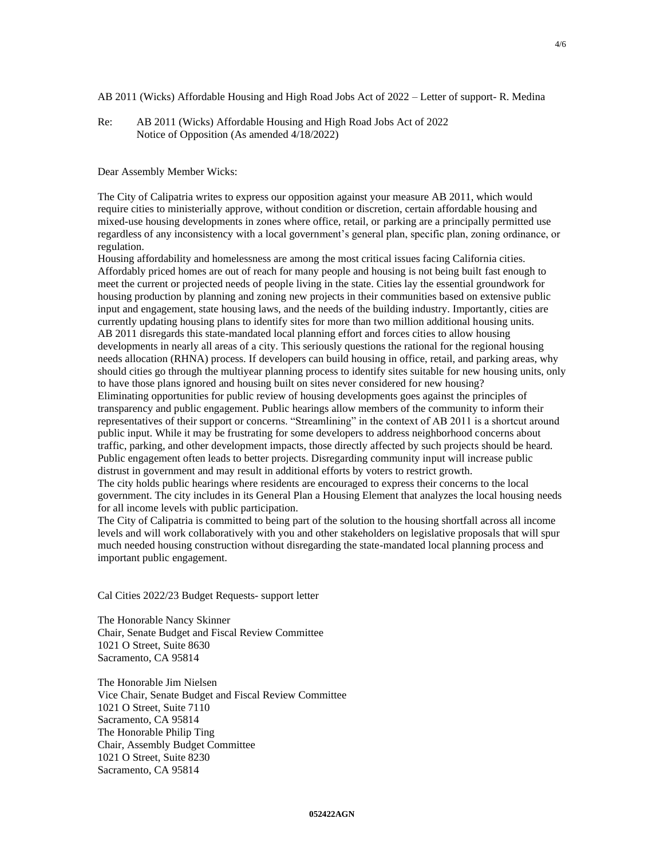AB 2011 (Wicks) Affordable Housing and High Road Jobs Act of 2022 – Letter of support- R. Medina

Re: AB 2011 (Wicks) Affordable Housing and High Road Jobs Act of 2022 Notice of Opposition (As amended 4/18/2022)

Dear Assembly Member Wicks:

The City of Calipatria writes to express our opposition against your measure AB 2011, which would require cities to ministerially approve, without condition or discretion, certain affordable housing and mixed-use housing developments in zones where office, retail, or parking are a principally permitted use regardless of any inconsistency with a local government's general plan, specific plan, zoning ordinance, or regulation.

Housing affordability and homelessness are among the most critical issues facing California cities. Affordably priced homes are out of reach for many people and housing is not being built fast enough to meet the current or projected needs of people living in the state. Cities lay the essential groundwork for housing production by planning and zoning new projects in their communities based on extensive public input and engagement, state housing laws, and the needs of the building industry. Importantly, cities are currently updating housing plans to identify sites for more than two million additional housing units. AB 2011 disregards this state-mandated local planning effort and forces cities to allow housing developments in nearly all areas of a city. This seriously questions the rational for the regional housing needs allocation (RHNA) process. If developers can build housing in office, retail, and parking areas, why should cities go through the multiyear planning process to identify sites suitable for new housing units, only to have those plans ignored and housing built on sites never considered for new housing? Eliminating opportunities for public review of housing developments goes against the principles of transparency and public engagement. Public hearings allow members of the community to inform their representatives of their support or concerns. "Streamlining" in the context of AB 2011 is a shortcut around public input. While it may be frustrating for some developers to address neighborhood concerns about traffic, parking, and other development impacts, those directly affected by such projects should be heard. Public engagement often leads to better projects. Disregarding community input will increase public distrust in government and may result in additional efforts by voters to restrict growth. The city holds public hearings where residents are encouraged to express their concerns to the local government. The city includes in its General Plan a Housing Element that analyzes the local housing needs for all income levels with public participation.

The City of Calipatria is committed to being part of the solution to the housing shortfall across all income levels and will work collaboratively with you and other stakeholders on legislative proposals that will spur much needed housing construction without disregarding the state-mandated local planning process and important public engagement.

Cal Cities 2022/23 Budget Requests- support letter

The Honorable Nancy Skinner Chair, Senate Budget and Fiscal Review Committee 1021 O Street, Suite 8630 Sacramento, CA 95814

The Honorable Jim Nielsen Vice Chair, Senate Budget and Fiscal Review Committee 1021 O Street, Suite 7110 Sacramento, CA 95814 The Honorable Philip Ting Chair, Assembly Budget Committee 1021 O Street, Suite 8230 Sacramento, CA 95814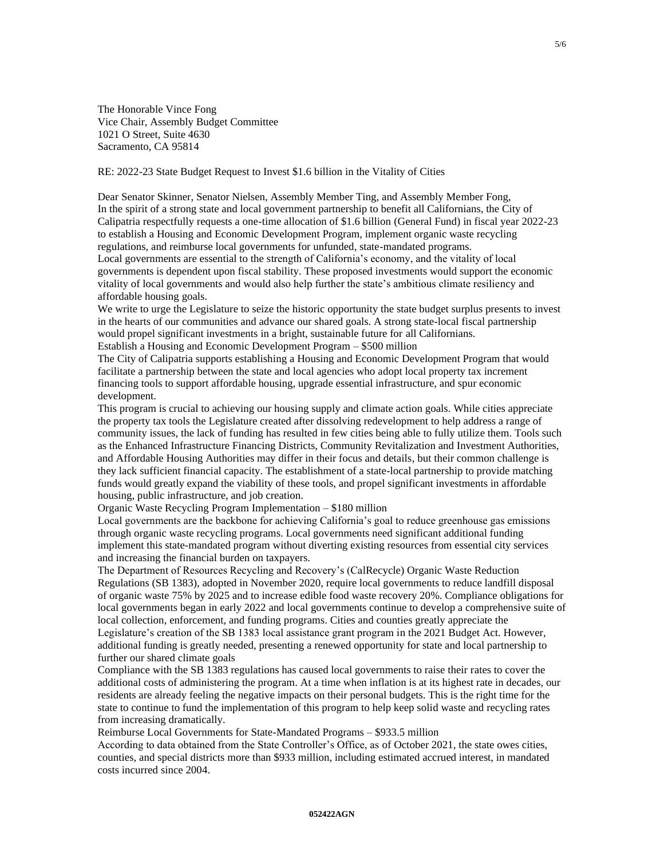The Honorable Vince Fong Vice Chair, Assembly Budget Committee 1021 O Street, Suite 4630 Sacramento, CA 95814

RE: 2022-23 State Budget Request to Invest \$1.6 billion in the Vitality of Cities

Dear Senator Skinner, Senator Nielsen, Assembly Member Ting, and Assembly Member Fong, In the spirit of a strong state and local government partnership to benefit all Californians, the City of Calipatria respectfully requests a one-time allocation of \$1.6 billion (General Fund) in fiscal year 2022-23 to establish a Housing and Economic Development Program, implement organic waste recycling regulations, and reimburse local governments for unfunded, state-mandated programs. Local governments are essential to the strength of California's economy, and the vitality of local governments is dependent upon fiscal stability. These proposed investments would support the economic vitality of local governments and would also help further the state's ambitious climate resiliency and affordable housing goals.

We write to urge the Legislature to seize the historic opportunity the state budget surplus presents to invest in the hearts of our communities and advance our shared goals. A strong state-local fiscal partnership would propel significant investments in a bright, sustainable future for all Californians. Establish a Housing and Economic Development Program – \$500 million

The City of Calipatria supports establishing a Housing and Economic Development Program that would facilitate a partnership between the state and local agencies who adopt local property tax increment financing tools to support affordable housing, upgrade essential infrastructure, and spur economic development.

This program is crucial to achieving our housing supply and climate action goals. While cities appreciate the property tax tools the Legislature created after dissolving redevelopment to help address a range of community issues, the lack of funding has resulted in few cities being able to fully utilize them. Tools such as the Enhanced Infrastructure Financing Districts, Community Revitalization and Investment Authorities, and Affordable Housing Authorities may differ in their focus and details, but their common challenge is they lack sufficient financial capacity. The establishment of a state-local partnership to provide matching funds would greatly expand the viability of these tools, and propel significant investments in affordable housing, public infrastructure, and job creation.

Organic Waste Recycling Program Implementation – \$180 million

Local governments are the backbone for achieving California's goal to reduce greenhouse gas emissions through organic waste recycling programs. Local governments need significant additional funding implement this state-mandated program without diverting existing resources from essential city services and increasing the financial burden on taxpayers.

The Department of Resources Recycling and Recovery's (CalRecycle) Organic Waste Reduction Regulations (SB 1383), adopted in November 2020, require local governments to reduce landfill disposal of organic waste 75% by 2025 and to increase edible food waste recovery 20%. Compliance obligations for local governments began in early 2022 and local governments continue to develop a comprehensive suite of local collection, enforcement, and funding programs. Cities and counties greatly appreciate the Legislature's creation of the SB 1383 local assistance grant program in the 2021 Budget Act. However, additional funding is greatly needed, presenting a renewed opportunity for state and local partnership to further our shared climate goals

Compliance with the SB 1383 regulations has caused local governments to raise their rates to cover the additional costs of administering the program. At a time when inflation is at its highest rate in decades, our residents are already feeling the negative impacts on their personal budgets. This is the right time for the state to continue to fund the implementation of this program to help keep solid waste and recycling rates from increasing dramatically.

Reimburse Local Governments for State-Mandated Programs – \$933.5 million

According to data obtained from the State Controller's Office, as of October 2021, the state owes cities, counties, and special districts more than \$933 million, including estimated accrued interest, in mandated costs incurred since 2004.